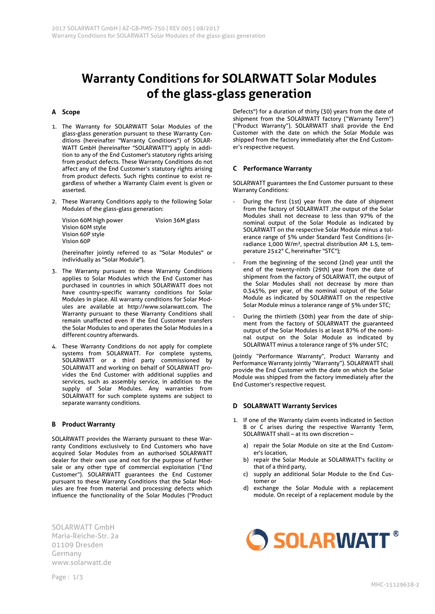# **Warranty Conditions for SOLARWATT Solar Modules of the glass-glass generation**

# **A Scope**

- 1. The Warranty for SOLARWATT Solar Modules of the glass-glass generation pursuant to these Warranty Conditions (hereinafter "Warranty Conditions") of SOLAR-WATT GmbH (hereinafter "SOLARWATT") apply in addition to any of the End Customer's statutory rights arising from product defects. These Warranty Conditions do not affect any of the End Customer's statutory rights arising from product defects. Such rights continue to exist regardless of whether a Warranty Claim event is given or asserted.
- 2. These Warranty Conditions apply to the following Solar Modules of the glass-glass generation:

| Vision 60M high power | Vision 36M glass |
|-----------------------|------------------|
| Vision 60M style      |                  |
| Vision 60P style      |                  |
| Vision 60P            |                  |

(hereinafter jointly referred to as "Solar Modules" or individually as "Solar Module").

- 3. The Warranty pursuant to these Warranty Conditions applies to Solar Modules which the End Customer has purchased in countries in which SOLARWATT does not have country-specific warranty conditions for Solar Modules in place. All warranty conditions for Solar Modules are available at http://www.solarwatt.com. The Warranty pursuant to these Warranty Conditions shall remain unaffected even if the End Customer transfers the Solar Modules to and operates the Solar Modules in a different country afterwards.
- 4. These Warranty Conditions do not apply for complete systems from SOLARWATT. For complete systems, SOLARWATT or a third party commissioned by SOLARWATT and working on behalf of SOLARWATT provides the End Customer with additional supplies and services, such as assembly service, in addition to the supply of Solar Modules. Any warranties from SOLARWATT for such complete systems are subject to separate warranty conditions.

# **B Product Warranty**

SOLARWATT provides the Warranty pursuant to these Warranty Conditions exclusively to End Customers who have acquired Solar Modules from an authorised SOLARWATT dealer for their own use and not for the purpose of further sale or any other type of commercial exploitation ("End Customer"). SOLARWATT guarantees the End Customer pursuant to these Warranty Conditions that the Solar Modules are free from material and processing defects which influence the functionality of the Solar Modules ("Product

SOLARWATT GmbH Maria-Reiche-Str. 2a 01109 Dresden Germany www.solarwatt.de

Defects") for a duration of thirty (30) years from the date of shipment from the SOLARWATT factory ("Warranty Term") ("Product Warranty"). SOLARWATT shall provide the End Customer with the date on which the Solar Module was shipped from the factory immediately after the End Customer's respective request.

### **C Performance Warranty**

SOLARWATT guarantees the End Customer pursuant to these Warranty Conditions:

- During the first (1st) year from the date of shipment from the factory of SOLARWATT ,the output of the Solar Modules shall not decrease to less than 97% of the nominal output of the Solar Module as indicated by SOLARWATT on the respective Solar Module minus a tolerance range of 5% under Standard Test Conditions (irradiance 1,000 W/m², spectral distribution AM 1.5, temperature 25±2° C, hereinafter "STC");
- From the beginning of the second (2nd) year until the end of the twenty-ninth (29th) year from the date of shipment from the factory of SOLARWATT, the output of the Solar Modules shall not decrease by more than 0.345%, per year, of the nominal output of the Solar Module as indicated by SOLARWATT on the respective Solar Module minus a tolerance range of 5% under STC;
- During the thirtieth (30th) year from the date of shipment from the factory of SOLARWATT the guaranteed output of the Solar Modules is at least 87% of the nominal output on the Solar Module as indicated by SOLARWATT minus a tolerance range of 5% under STC;

(jointly "Performance Warranty", Product Warranty and Performance Warranty jointly "Warranty"). SOLARWATT shall provide the End Customer with the date on which the Solar Module was shipped from the factory immediately after the End Customer's respective request.

# **D SOLARWATT Warranty Services**

- 1. If one of the Warranty claim events indicated in Section B or C arises during the respective Warranty Term, SOLARWATT shall – at its own discretion –
	- a) repair the Solar Module on site at the End Customer's location,
	- b) repair the Solar Module at SOLARWATT's facility or that of a third party,
	- c) supply an additional Solar Module to the End Customer or
	- d) exchange the Solar Module with a replacement module. On receipt of a replacement module by the

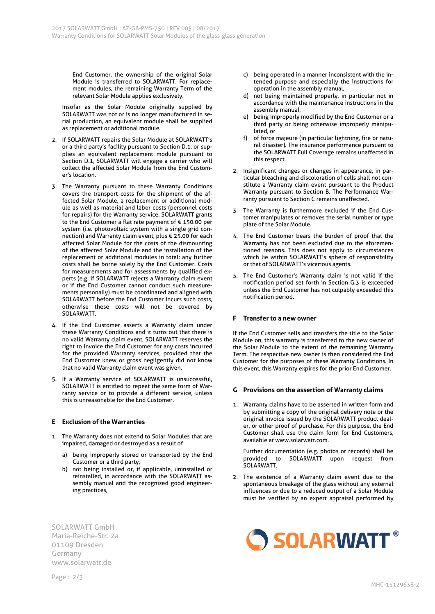End Customer, the ownership of the original Solar Module is transferred to SOLARWATT. For replacement modules, the remaining Warranty Term of the relevant Solar Module applies exclusively.

Insofar as the Solar Module originally supplied by SOLARWATT was not or is no longer manufactured in serial production, an equivalent module shall be supplied as replacement or additional module.

- 2. If SOLARWATT repairs the Solar Module at SOLARWATT's or a third party's facility pursuant to Section D.1. or supplies an equivalent replacement module pursuant to Section D.1, SOLARWATT will engage a carrier who will collect the affected Solar Module from the End Customer's location.
- 3. The Warranty pursuant to these Warranty Conditions covers the transport costs for the shipment of the affected Solar Module, a replacement or additional module as well as material and labor costs (personnel costs for repairs) for the Warranty service. SOLARWATT grants to the End Customer a flat rate payment of € 150.00 per system (i.e. photovoltaic system with a single grid connection) and Warranty claim event, plus € 25.00 for each affected Solar Module for the costs of the dismounting of the affected Solar Module and the installation of the replacement or additional modules in total; any further costs shall be borne solely by the End Customer. Costs for measurements and for assessments by qualified experts (e.g. if SOLARWATT rejects a Warranty claim event or if the End Customer cannot conduct such measurements personally) must be coordinated and aligned with SOLARWATT before the End Customer incurs such costs, otherwise these costs will not be covered by SOLARWATT.
- 4. If the End Customer asserts a Warranty claim under these Warranty Conditions and it turns out that there is no valid Warranty claim event, SOLARWATT reserves the right to invoice the End Customer for any costs incurred for the provided Warranty services, provided that the End Customer knew or gross negligently did not know that no valid Warranty claim event was given.
- 5. If a Warranty service of SOLARWATT is unsuccessful, SOLARWATT is entitled to repeat the same form of Warranty service or to provide a different service, unless this is unreasonable for the End Customer.

# **E Exclusion of the Warranties**

- 1. The Warranty does not extend to Solar Modules that are impaired, damaged or destroyed as a result of
	- a) being improperly stored or transported by the End Customer or a third party,
	- b) not being installed or, if applicable, uninstalled or reinstalled, in accordance with the SOLARWATT assembly manual and the recognized good engineering practices,

SOLARWATT GmbH Maria-Reiche-Str. 2a 01109 Dresden Germany www.solarwatt.de

- c) being operated in a manner inconsistent with the intended purpose and especially the instructions for operation in the assembly manual,
- d) not being maintained properly, in particular not in accordance with the maintenance instructions in the assembly manual,
- e) being improperly modified by the End Customer or a third party or being otherwise improperly manipulated, or
- f) of force majeure (in particular lightning, fire or natural disaster). The insurance performance pursuant to the SOLARWATT Full Coverage remains unaffected in this respect.
- 2. Insignificant changes or changes in appearance, in particular bleaching and discoloration of cells shall not constitute a Warranty claim event pursuant to the Product Warranty pursuant to Section B. The Performance Warranty pursuant to Section C remains unaffected.
- 3. The Warranty is furthermore excluded if the End Customer manipulates or removes the serial number or type plate of the Solar Module.
- 4. The End Customer bears the burden of proof that the Warranty has not been excluded due to the aforementioned reasons. This does not apply to circumstances which lie within SOLARWATT's sphere of responsibility or that of SOLARWATT's vicarious agents.
- 5. The End Customer's Warranty claim is not valid if the notification period set forth in Section G.3 is exceeded unless the End Customer has not culpably exceeded this notification period.

# **F Transfer to a new owner**

If the End Customer sells and transfers the title to the Solar Module on, this warranty is transferred to the new owner of the Solar Module to the extent of the remaining Warranty Term. The respective new owner is then considered the End Customer for the purposes of these Warranty Conditions. In this event, this Warranty expires for the prior End Customer.

#### **G Provisions on the assertion of Warranty claims**

1. Warranty claims have to be asserted in written form and by submitting a copy of the original delivery note or the original invoice issued by the SOLARWATT product dealer, or other proof of purchase. For this purpose, the End Customer shall use the claim form for End Customers, available at www.solarwatt.com.

Further documentation (e.g. photos or records) shall be provided to SOLARWATT upon request from SOLARWATT.

2. The existence of a Warranty claim event due to the spontaneous breakage of the glass without any external influences or due to a reduced output of a Solar Module must be verified by an expert appraisal performed by